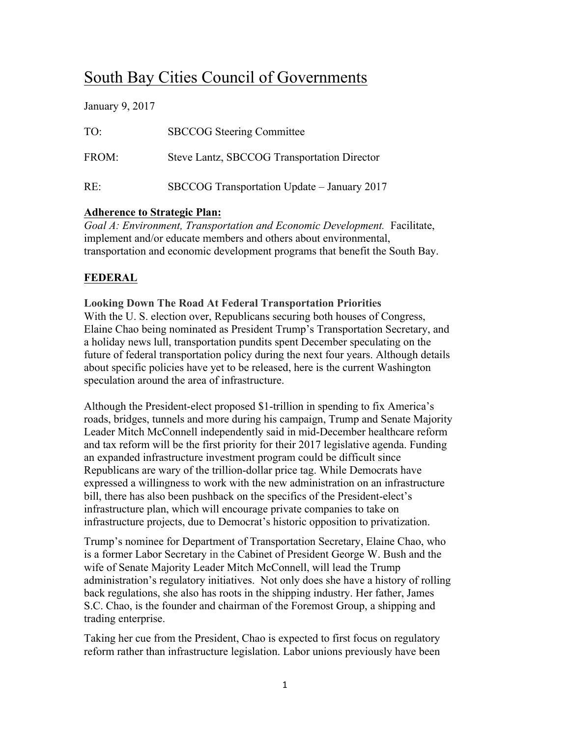# South Bay Cities Council of Governments

January 9, 2017

| TO <sup>1</sup> | <b>SBCCOG</b> Steering Committee            |
|-----------------|---------------------------------------------|
| FROM:           | Steve Lantz, SBCCOG Transportation Director |
| $RE^+$          | SBCCOG Transportation Update - January 2017 |

# **Adherence to Strategic Plan:**

*Goal A: Environment, Transportation and Economic Development.* Facilitate, implement and/or educate members and others about environmental, transportation and economic development programs that benefit the South Bay.

# **FEDERAL**

**Looking Down The Road At Federal Transportation Priorities** With the U. S. election over, Republicans securing both houses of Congress, Elaine Chao being nominated as President Trump's Transportation Secretary, and a holiday news lull, transportation pundits spent December speculating on the future of federal transportation policy during the next four years. Although details about specific policies have yet to be released, here is the current Washington speculation around the area of infrastructure.

Although the President-elect proposed \$1-trillion in spending to fix America's roads, bridges, tunnels and more during his campaign, Trump and Senate Majority Leader Mitch McConnell independently said in mid-December healthcare reform and tax reform will be the first priority for their 2017 legislative agenda. Funding an expanded infrastructure investment program could be difficult since Republicans are wary of the trillion-dollar price tag. While Democrats have expressed a willingness to work with the new administration on an infrastructure bill, there has also been pushback on the specifics of the President-elect's infrastructure plan, which will encourage private companies to take on infrastructure projects, due to Democrat's historic opposition to privatization.

Trump's nominee for Department of Transportation Secretary, Elaine Chao, who is a former Labor Secretary in the Cabinet of President George W. Bush and the wife of Senate Majority Leader Mitch McConnell, will lead the Trump administration's regulatory initiatives. Not only does she have a history of rolling back regulations, she also has roots in the shipping industry. Her father, James S.C. Chao, is the founder and chairman of the Foremost Group, a shipping and trading enterprise.

Taking her cue from the President, Chao is expected to first focus on regulatory reform rather than infrastructure legislation. Labor unions previously have been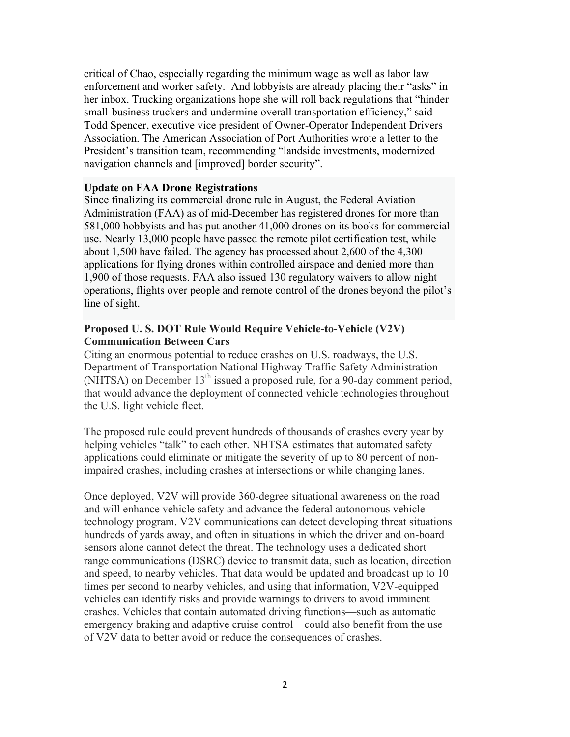critical of Chao, especially regarding the minimum wage as well as labor law enforcement and worker safety. And lobbyists are already placing their "asks" in her inbox. Trucking organizations hope she will roll back regulations that "hinder small-business truckers and undermine overall transportation efficiency," said Todd Spencer, executive vice president of Owner-Operator Independent Drivers Association. The American Association of Port Authorities wrote a letter to the President's transition team, recommending "landside investments, modernized navigation channels and [improved] border security".

#### **Update on FAA Drone Registrations**

Since finalizing its commercial drone rule in August, the Federal Aviation Administration (FAA) as of mid-December has registered drones for more than 581,000 hobbyists and has put another 41,000 drones on its books for commercial use. Nearly 13,000 people have passed the remote pilot certification test, while about 1,500 have failed. The agency has processed about 2,600 of the 4,300 applications for flying drones within controlled airspace and denied more than 1,900 of those requests. FAA also issued 130 regulatory waivers to allow night operations, flights over people and remote control of the drones beyond the pilot's line of sight.

### **Proposed U. S. DOT Rule Would Require Vehicle-to-Vehicle (V2V) Communication Between Cars**

Citing an enormous potential to reduce crashes on U.S. roadways, the U.S. Department of Transportation National Highway Traffic Safety Administration (NHTSA) on December  $13<sup>th</sup>$  issued a proposed rule, for a 90-day comment period, that would advance the deployment of connected vehicle technologies throughout the U.S. light vehicle fleet.

The proposed rule could prevent hundreds of thousands of crashes every year by helping vehicles "talk" to each other. NHTSA estimates that automated safety applications could eliminate or mitigate the severity of up to 80 percent of nonimpaired crashes, including crashes at intersections or while changing lanes.

Once deployed, V2V will provide 360-degree situational awareness on the road and will enhance vehicle safety and advance the federal autonomous vehicle technology program. V2V communications can detect developing threat situations hundreds of yards away, and often in situations in which the driver and on-board sensors alone cannot detect the threat. The technology uses a dedicated short range communications (DSRC) device to transmit data, such as location, direction and speed, to nearby vehicles. That data would be updated and broadcast up to 10 times per second to nearby vehicles, and using that information, V2V-equipped vehicles can identify risks and provide warnings to drivers to avoid imminent crashes. Vehicles that contain automated driving functions—such as automatic emergency braking and adaptive cruise control—could also benefit from the use of V2V data to better avoid or reduce the consequences of crashes.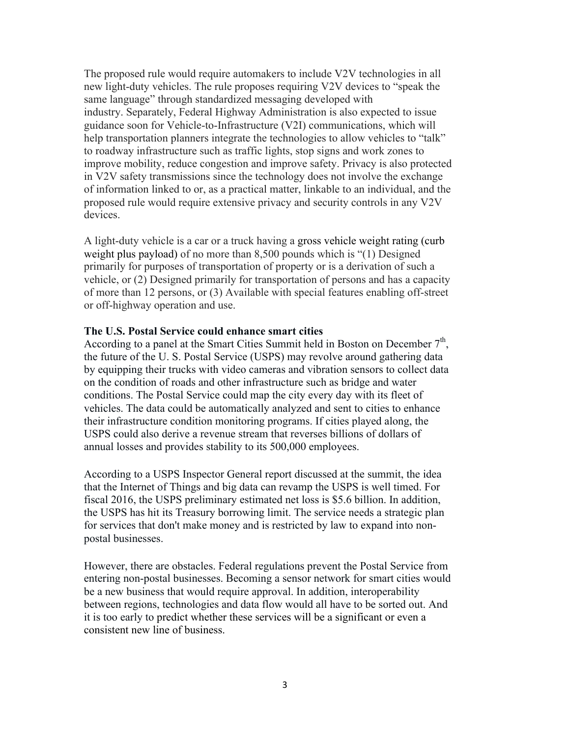The proposed rule would require automakers to include V2V technologies in all new light-duty vehicles. The rule proposes requiring V2V devices to "speak the same language" through standardized messaging developed with industry. Separately, Federal Highway Administration is also expected to issue guidance soon for Vehicle-to-Infrastructure (V2I) communications, which will help transportation planners integrate the technologies to allow vehicles to "talk" to roadway infrastructure such as traffic lights, stop signs and work zones to improve mobility, reduce congestion and improve safety. Privacy is also protected in V2V safety transmissions since the technology does not involve the exchange of information linked to or, as a practical matter, linkable to an individual, and the proposed rule would require extensive privacy and security controls in any V2V devices.

A light-duty vehicle is a car or a truck having a gross vehicle weight rating (curb weight plus payload) of no more than 8,500 pounds which is "(1) Designed primarily for purposes of transportation of property or is a derivation of such a vehicle, or (2) Designed primarily for transportation of persons and has a capacity of more than 12 persons, or (3) Available with special features enabling off-street or off-highway operation and use.

#### **The U.S. Postal Service could enhance smart cities**

According to a panel at the Smart Cities Summit held in Boston on December  $7<sup>th</sup>$ . the future of the U. S. Postal Service (USPS) may revolve around gathering data by equipping their trucks with video cameras and vibration sensors to collect data on the condition of roads and other infrastructure such as bridge and water conditions. The Postal Service could map the city every day with its fleet of vehicles. The data could be automatically analyzed and sent to cities to enhance their infrastructure condition monitoring programs. If cities played along, the USPS could also derive a revenue stream that reverses billions of dollars of annual losses and provides stability to its 500,000 employees.

According to a USPS Inspector General report discussed at the summit, the idea that the Internet of Things and big data can revamp the USPS is well timed. For fiscal 2016, the USPS preliminary estimated net loss is \$5.6 billion. In addition, the USPS has hit its Treasury borrowing limit. The service needs a strategic plan for services that don't make money and is restricted by law to expand into nonpostal businesses.

However, there are obstacles. Federal regulations prevent the Postal Service from entering non-postal businesses. Becoming a sensor network for smart cities would be a new business that would require approval. In addition, interoperability between regions, technologies and data flow would all have to be sorted out. And it is too early to predict whether these services will be a significant or even a consistent new line of business.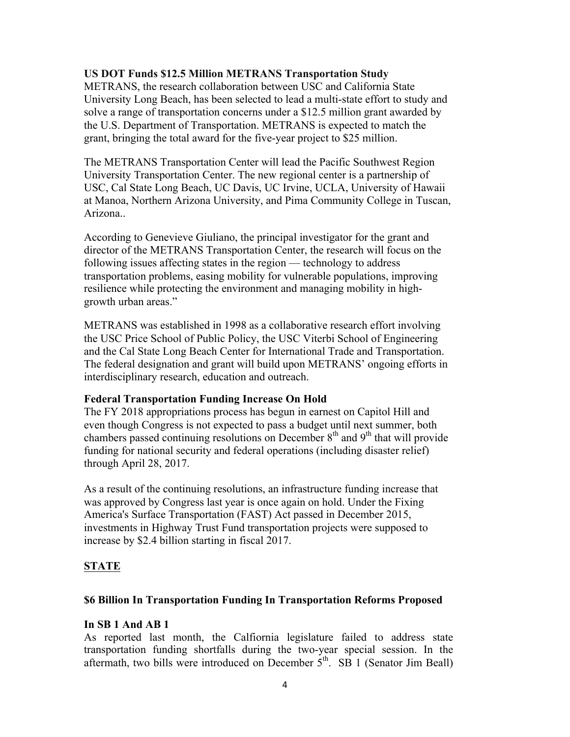## **US DOT Funds \$12.5 Million METRANS Transportation Study**

METRANS, the research collaboration between USC and California State University Long Beach, has been selected to lead a multi-state effort to study and solve a range of transportation concerns under a \$12.5 million grant awarded by the U.S. Department of Transportation. METRANS is expected to match the grant, bringing the total award for the five-year project to \$25 million.

The METRANS Transportation Center will lead the Pacific Southwest Region University Transportation Center. The new regional center is a partnership of USC, Cal State Long Beach, UC Davis, UC Irvine, UCLA, University of Hawaii at Manoa, Northern Arizona University, and Pima Community College in Tuscan, Arizona..

According to Genevieve Giuliano, the principal investigator for the grant and director of the METRANS Transportation Center, the research will focus on the following issues affecting states in the region — technology to address transportation problems, easing mobility for vulnerable populations, improving resilience while protecting the environment and managing mobility in highgrowth urban areas."

METRANS was established in 1998 as a collaborative research effort involving the USC Price School of Public Policy, the USC Viterbi School of Engineering and the Cal State Long Beach Center for International Trade and Transportation. The federal designation and grant will build upon METRANS' ongoing efforts in interdisciplinary research, education and outreach.

# **Federal Transportation Funding Increase On Hold**

The FY 2018 appropriations process has begun in earnest on Capitol Hill and even though Congress is not expected to pass a budget until next summer, both chambers passed continuing resolutions on December  $8<sup>th</sup>$  and  $9<sup>th</sup>$  that will provide funding for national security and federal operations (including disaster relief) through April 28, 2017.

As a result of the continuing resolutions, an infrastructure funding increase that was approved by Congress last year is once again on hold. Under the Fixing America's Surface Transportation (FAST) Act passed in December 2015, investments in Highway Trust Fund transportation projects were supposed to increase by \$2.4 billion starting in fiscal 2017.

# **STATE**

# **\$6 Billion In Transportation Funding In Transportation Reforms Proposed**

# **In SB 1 And AB 1**

As reported last month, the Calfiornia legislature failed to address state transportation funding shortfalls during the two-year special session. In the aftermath, two bills were introduced on December  $5<sup>th</sup>$ . SB 1 (Senator Jim Beall)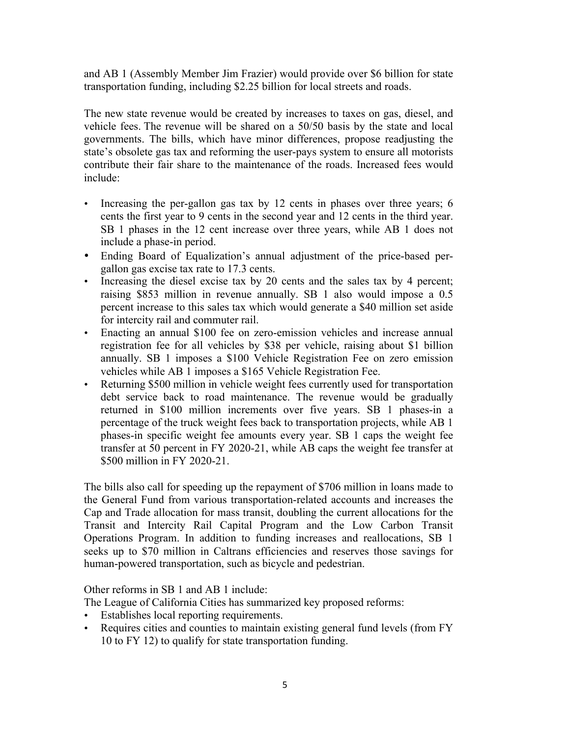and AB 1 (Assembly Member Jim Frazier) would provide over \$6 billion for state transportation funding, including \$2.25 billion for local streets and roads.

The new state revenue would be created by increases to taxes on gas, diesel, and vehicle fees. The revenue will be shared on a 50/50 basis by the state and local governments. The bills, which have minor differences, propose readjusting the state's obsolete gas tax and reforming the user-pays system to ensure all motorists contribute their fair share to the maintenance of the roads. Increased fees would include:

- Increasing the per-gallon gas tax by 12 cents in phases over three years; 6 cents the first year to 9 cents in the second year and 12 cents in the third year. SB 1 phases in the 12 cent increase over three years, while AB 1 does not include a phase-in period.
- Ending Board of Equalization's annual adjustment of the price-based pergallon gas excise tax rate to 17.3 cents.
- Increasing the diesel excise tax by 20 cents and the sales tax by 4 percent; raising \$853 million in revenue annually. SB 1 also would impose a 0.5 percent increase to this sales tax which would generate a \$40 million set aside for intercity rail and commuter rail.
- Enacting an annual \$100 fee on zero-emission vehicles and increase annual registration fee for all vehicles by \$38 per vehicle, raising about \$1 billion annually. SB 1 imposes a \$100 Vehicle Registration Fee on zero emission vehicles while AB 1 imposes a \$165 Vehicle Registration Fee.
- Returning \$500 million in vehicle weight fees currently used for transportation debt service back to road maintenance. The revenue would be gradually returned in \$100 million increments over five years. SB 1 phases-in a percentage of the truck weight fees back to transportation projects, while AB 1 phases-in specific weight fee amounts every year. SB 1 caps the weight fee transfer at 50 percent in FY 2020-21, while AB caps the weight fee transfer at \$500 million in FY 2020-21.

The bills also call for speeding up the repayment of \$706 million in loans made to the General Fund from various transportation-related accounts and increases the Cap and Trade allocation for mass transit, doubling the current allocations for the Transit and Intercity Rail Capital Program and the Low Carbon Transit Operations Program. In addition to funding increases and reallocations, SB 1 seeks up to \$70 million in Caltrans efficiencies and reserves those savings for human-powered transportation, such as bicycle and pedestrian.

Other reforms in SB 1 and AB 1 include:

The League of California Cities has summarized key proposed reforms:

- Establishes local reporting requirements.
- Requires cities and counties to maintain existing general fund levels (from FY 10 to FY 12) to qualify for state transportation funding.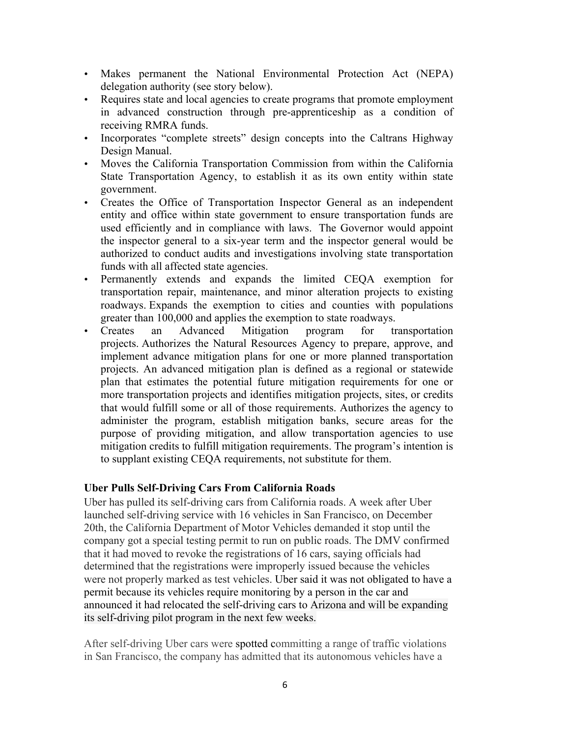- Makes permanent the National Environmental Protection Act (NEPA) delegation authority (see story below).
- Requires state and local agencies to create programs that promote employment in advanced construction through pre-apprenticeship as a condition of receiving RMRA funds.
- Incorporates "complete streets" design concepts into the Caltrans Highway Design Manual.
- Moves the California Transportation Commission from within the California State Transportation Agency, to establish it as its own entity within state government.
- Creates the Office of Transportation Inspector General as an independent entity and office within state government to ensure transportation funds are used efficiently and in compliance with laws. The Governor would appoint the inspector general to a six-year term and the inspector general would be authorized to conduct audits and investigations involving state transportation funds with all affected state agencies.
- Permanently extends and expands the limited CEQA exemption for transportation repair, maintenance, and minor alteration projects to existing roadways. Expands the exemption to cities and counties with populations greater than 100,000 and applies the exemption to state roadways.
- Creates an Advanced Mitigation program for transportation projects. Authorizes the Natural Resources Agency to prepare, approve, and implement advance mitigation plans for one or more planned transportation projects. An advanced mitigation plan is defined as a regional or statewide plan that estimates the potential future mitigation requirements for one or more transportation projects and identifies mitigation projects, sites, or credits that would fulfill some or all of those requirements. Authorizes the agency to administer the program, establish mitigation banks, secure areas for the purpose of providing mitigation, and allow transportation agencies to use mitigation credits to fulfill mitigation requirements. The program's intention is to supplant existing CEQA requirements, not substitute for them.

# **Uber Pulls Self-Driving Cars From California Roads**

Uber has pulled its self-driving cars from California roads. A week after Uber launched self-driving service with 16 vehicles in San Francisco, on December 20th, the California Department of Motor Vehicles demanded it stop until the company got a special testing permit to run on public roads. The DMV confirmed that it had moved to revoke the registrations of 16 cars, saying officials had determined that the registrations were improperly issued because the vehicles were not properly marked as test vehicles. Uber said it was not obligated to have a permit because its vehicles require monitoring by a person in the car and announced it had relocated the self-driving cars to Arizona and will be expanding its self-driving pilot program in the next few weeks.

After self-driving Uber cars were spotted committing a range of traffic violations in San Francisco, the company has admitted that its autonomous vehicles have a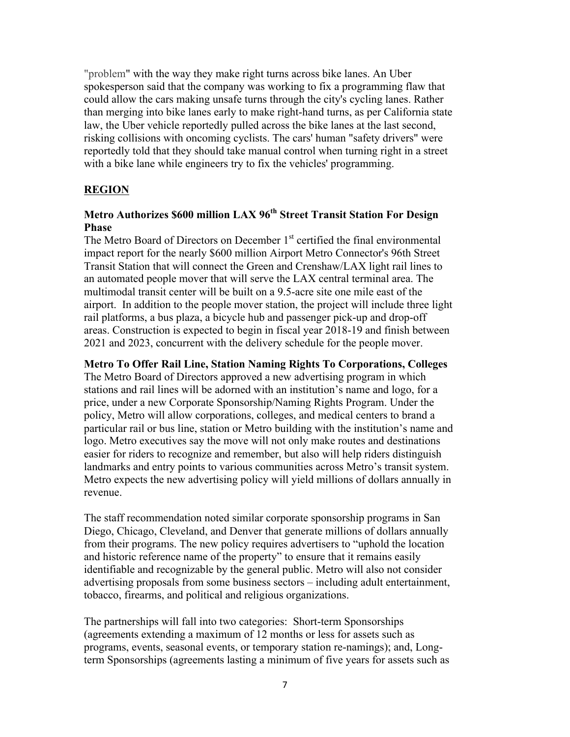"problem" with the way they make right turns across bike lanes. An Uber spokesperson said that the company was working to fix a programming flaw that could allow the cars making unsafe turns through the city's cycling lanes. Rather than merging into bike lanes early to make right-hand turns, as per California state law, the Uber vehicle reportedly pulled across the bike lanes at the last second, risking collisions with oncoming cyclists. The cars' human "safety drivers" were reportedly told that they should take manual control when turning right in a street with a bike lane while engineers try to fix the vehicles' programming.

## **REGION**

# **Metro Authorizes \$600 million LAX 96th Street Transit Station For Design Phase**

The Metro Board of Directors on December 1<sup>st</sup> certified the final environmental impact report for the nearly \$600 million Airport Metro Connector's 96th Street Transit Station that will connect the Green and Crenshaw/LAX light rail lines to an automated people mover that will serve the LAX central terminal area. The multimodal transit center will be built on a 9.5-acre site one mile east of the airport. In addition to the people mover station, the project will include three light rail platforms, a bus plaza, a bicycle hub and passenger pick-up and drop-off areas. Construction is expected to begin in fiscal year 2018-19 and finish between 2021 and 2023, concurrent with the delivery schedule for the people mover.

**Metro To Offer Rail Line, Station Naming Rights To Corporations, Colleges**

The Metro Board of Directors approved a new advertising program in which stations and rail lines will be adorned with an institution's name and logo, for a price, under a new Corporate Sponsorship/Naming Rights Program. Under the policy, Metro will allow corporations, colleges, and medical centers to brand a particular rail or bus line, station or Metro building with the institution's name and logo. Metro executives say the move will not only make routes and destinations easier for riders to recognize and remember, but also will help riders distinguish landmarks and entry points to various communities across Metro's transit system. Metro expects the new advertising policy will yield millions of dollars annually in revenue.

The staff recommendation noted similar corporate sponsorship programs in San Diego, Chicago, Cleveland, and Denver that generate millions of dollars annually from their programs. The new policy requires advertisers to "uphold the location and historic reference name of the property" to ensure that it remains easily identifiable and recognizable by the general public. Metro will also not consider advertising proposals from some business sectors – including adult entertainment, tobacco, firearms, and political and religious organizations.

The partnerships will fall into two categories: Short-term Sponsorships (agreements extending a maximum of 12 months or less for assets such as programs, events, seasonal events, or temporary station re-namings); and, Longterm Sponsorships (agreements lasting a minimum of five years for assets such as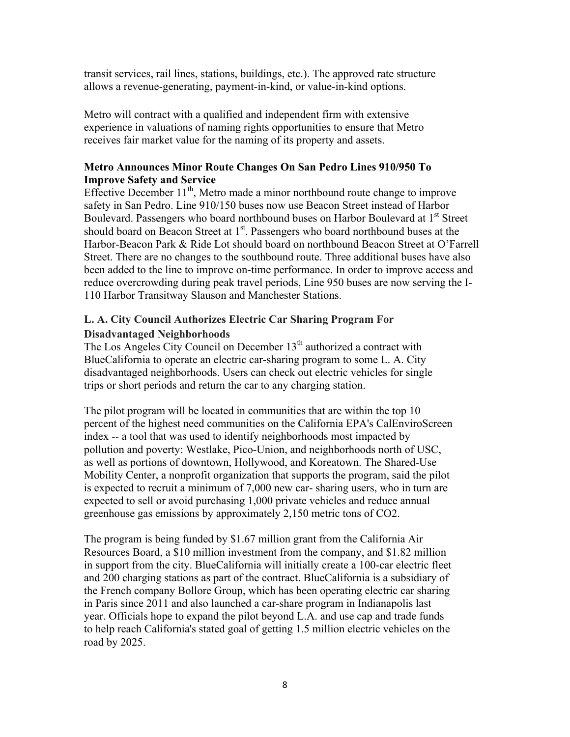transit services, rail lines, stations, buildings, etc.). The approved rate structure allows a revenue-generating, payment-in-kind, or value-in-kind options.

Metro will contract with a qualified and independent firm with extensive experience in valuations of naming rights opportunities to ensure that Metro receives fair market value for the naming of its property and assets.

# **Metro Announces Minor Route Changes On San Pedro Lines 910/950 To Improve Safety and Service**

Effective December  $11<sup>th</sup>$ , Metro made a minor northbound route change to improve safety in San Pedro. Line 910/150 buses now use Beacon Street instead of Harbor Boulevard. Passengers who board northbound buses on Harbor Boulevard at 1<sup>st</sup> Street should board on Beacon Street at 1<sup>st</sup>. Passengers who board northbound buses at the Harbor-Beacon Park & Ride Lot should board on northbound Beacon Street at O'Farrell Street. There are no changes to the southbound route. Three additional buses have also been added to the line to improve on-time performance. In order to improve access and reduce overcrowding during peak travel periods, Line 950 buses are now serving the I-110 Harbor Transitway Slauson and Manchester Stations.

# **L. A. City Council Authorizes Electric Car Sharing Program For Disadvantaged Neighborhoods**

The Los Angeles City Council on December  $13<sup>th</sup>$  authorized a contract with BlueCalifornia to operate an electric car-sharing program to some L. A. City disadvantaged neighborhoods. Users can check out electric vehicles for single trips or short periods and return the car to any charging station.

The pilot program will be located in communities that are within the top 10 percent of the highest need communities on the California EPA's CalEnviroScreen index -- a tool that was used to identify neighborhoods most impacted by pollution and poverty: Westlake, Pico-Union, and neighborhoods north of USC, as well as portions of downtown, Hollywood, and Koreatown. The Shared-Use Mobility Center, a nonprofit organization that supports the program, said the pilot is expected to recruit a minimum of 7,000 new car- sharing users, who in turn are expected to sell or avoid purchasing 1,000 private vehicles and reduce annual greenhouse gas emissions by approximately 2,150 metric tons of CO2.

The program is being funded by \$1.67 million grant from the California Air Resources Board, a \$10 million investment from the company, and \$1.82 million in support from the city. BlueCalifornia will initially create a 100-car electric fleet and 200 charging stations as part of the contract. BlueCalifornia is a subsidiary of the French company Bollore Group, which has been operating electric car sharing in Paris since 2011 and also launched a car-share program in Indianapolis last year. Officials hope to expand the pilot beyond L.A. and use cap and trade funds to help reach California's stated goal of getting 1.5 million electric vehicles on the road by 2025.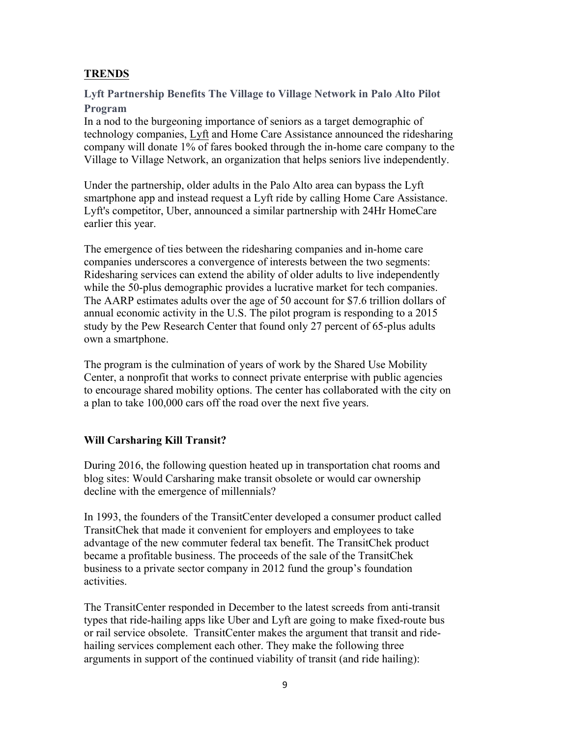# **TRENDS**

**Lyft Partnership Benefits The Village to Village Network in Palo Alto Pilot Program**

In a nod to the burgeoning importance of seniors as a target demographic of technology companies, Lyft and Home Care Assistance announced the ridesharing company will donate 1% of fares booked through the in-home care company to the Village to Village Network, an organization that helps seniors live independently.

Under the partnership, older adults in the Palo Alto area can bypass the Lyft smartphone app and instead request a Lyft ride by calling Home Care Assistance. Lyft's competitor, Uber, announced a similar partnership with 24Hr HomeCare earlier this year.

The emergence of ties between the ridesharing companies and in-home care companies underscores a convergence of interests between the two segments: Ridesharing services can extend the ability of older adults to live independently while the 50-plus demographic provides a lucrative market for tech companies. The AARP estimates adults over the age of 50 account for \$7.6 trillion dollars of annual economic activity in the U.S. The pilot program is responding to a 2015 study by the Pew Research Center that found only 27 percent of 65-plus adults own a smartphone.

The program is the culmination of years of work by the Shared Use Mobility Center, a nonprofit that works to connect private enterprise with public agencies to encourage shared mobility options. The center has collaborated with the city on a plan to take 100,000 cars off the road over the next five years.

# **Will Carsharing Kill Transit?**

During 2016, the following question heated up in transportation chat rooms and blog sites: Would Carsharing make transit obsolete or would car ownership decline with the emergence of millennials?

In 1993, the founders of the TransitCenter developed a consumer product called TransitChek that made it convenient for employers and employees to take advantage of the new commuter federal tax benefit. The TransitChek product became a profitable business. The proceeds of the sale of the TransitChek business to a private sector company in 2012 fund the group's foundation activities.

The TransitCenter responded in December to the latest screeds from anti-transit types that ride-hailing apps like Uber and Lyft are going to make fixed-route bus or rail service obsolete. TransitCenter makes the argument that transit and ridehailing services complement each other. They make the following three arguments in support of the continued viability of transit (and ride hailing):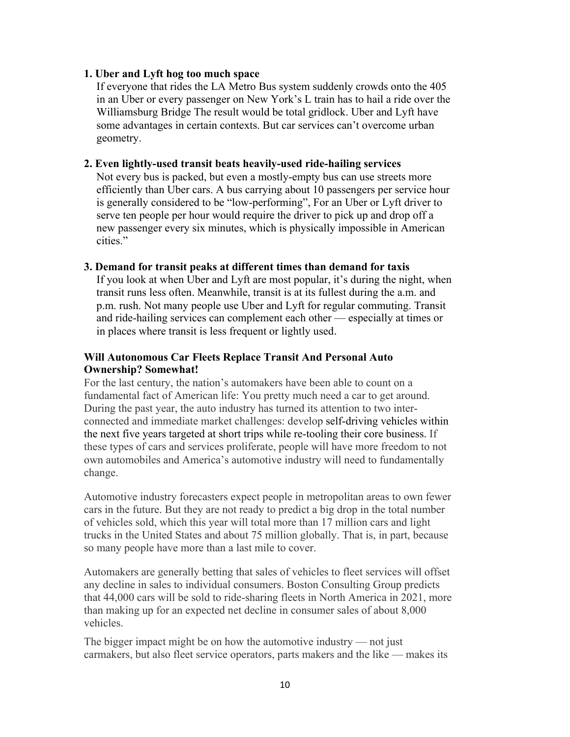#### **1. Uber and Lyft hog too much space**

If everyone that rides the LA Metro Bus system suddenly crowds onto the 405 in an Uber or every passenger on New York's L train has to hail a ride over the Williamsburg Bridge The result would be total gridlock. Uber and Lyft have some advantages in certain contexts. But car services can't overcome urban geometry.

#### **2. Even lightly-used transit beats heavily-used ride-hailing services**

Not every bus is packed, but even a mostly-empty bus can use streets more efficiently than Uber cars. A bus carrying about 10 passengers per service hour is generally considered to be "low-performing", For an Uber or Lyft driver to serve ten people per hour would require the driver to pick up and drop off a new passenger every six minutes, which is physically impossible in American cities."

#### **3. Demand for transit peaks at different times than demand for taxis**

If you look at when Uber and Lyft are most popular, it's during the night, when transit runs less often. Meanwhile, transit is at its fullest during the a.m. and p.m. rush. Not many people use Uber and Lyft for regular commuting. Transit and ride-hailing services can complement each other — especially at times or in places where transit is less frequent or lightly used.

## **Will Autonomous Car Fleets Replace Transit And Personal Auto Ownership? Somewhat!**

For the last century, the nation's automakers have been able to count on a fundamental fact of American life: You pretty much need a car to get around. During the past year, the auto industry has turned its attention to two interconnected and immediate market challenges: develop self-driving vehicles within the next five years targeted at short trips while re-tooling their core business. If these types of cars and services proliferate, people will have more freedom to not own automobiles and America's automotive industry will need to fundamentally change.

Automotive industry forecasters expect people in metropolitan areas to own fewer cars in the future. But they are not ready to predict a big drop in the total number of vehicles sold, which this year will total more than 17 million cars and light trucks in the United States and about 75 million globally. That is, in part, because so many people have more than a last mile to cover.

Automakers are generally betting that sales of vehicles to fleet services will offset any decline in sales to individual consumers. Boston Consulting Group predicts that 44,000 cars will be sold to ride-sharing fleets in North America in 2021, more than making up for an expected net decline in consumer sales of about 8,000 vehicles.

The bigger impact might be on how the automotive industry — not just carmakers, but also fleet service operators, parts makers and the like — makes its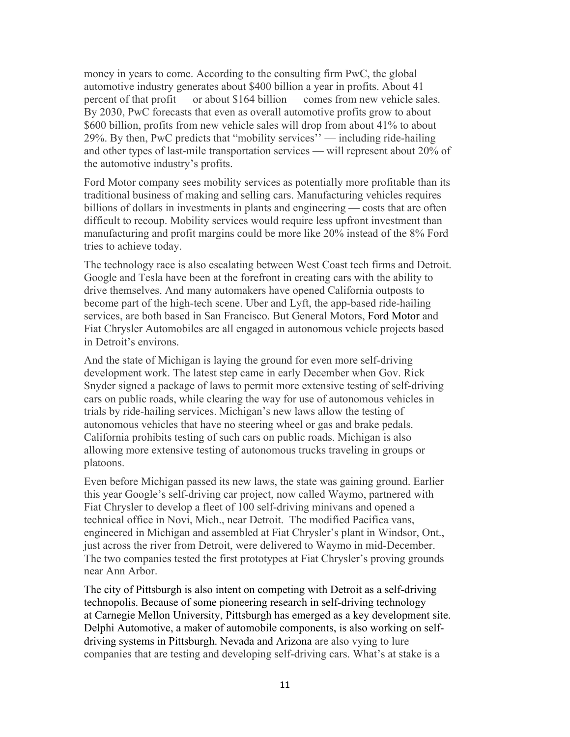money in years to come. According to the consulting firm PwC, the global automotive industry generates about \$400 billion a year in profits. About 41 percent of that profit — or about \$164 billion — comes from new vehicle sales. By 2030, PwC forecasts that even as overall automotive profits grow to about \$600 billion, profits from new vehicle sales will drop from about 41% to about 29%. By then, PwC predicts that "mobility services'' — including ride-hailing and other types of last-mile transportation services — will represent about 20% of the automotive industry's profits.

Ford Motor company sees mobility services as potentially more profitable than its traditional business of making and selling cars. Manufacturing vehicles requires billions of dollars in investments in plants and engineering — costs that are often difficult to recoup. Mobility services would require less upfront investment than manufacturing and profit margins could be more like 20% instead of the 8% Ford tries to achieve today.

The technology race is also escalating between West Coast tech firms and Detroit. Google and Tesla have been at the forefront in creating cars with the ability to drive themselves. And many automakers have opened California outposts to become part of the high-tech scene. Uber and Lyft, the app-based ride-hailing services, are both based in San Francisco. But General Motors, Ford Motor and Fiat Chrysler Automobiles are all engaged in autonomous vehicle projects based in Detroit's environs.

And the state of Michigan is laying the ground for even more self-driving development work. The latest step came in early December when Gov. Rick Snyder signed a package of laws to permit more extensive testing of self-driving cars on public roads, while clearing the way for use of autonomous vehicles in trials by ride-hailing services. Michigan's new laws allow the testing of autonomous vehicles that have no steering wheel or gas and brake pedals. California prohibits testing of such cars on public roads. Michigan is also allowing more extensive testing of autonomous trucks traveling in groups or platoons.

Even before Michigan passed its new laws, the state was gaining ground. Earlier this year Google's self-driving car project, now called Waymo, partnered with Fiat Chrysler to develop a fleet of 100 self-driving minivans and opened a technical office in Novi, Mich., near Detroit. The modified Pacifica vans, engineered in Michigan and assembled at Fiat Chrysler's plant in Windsor, Ont., just across the river from Detroit, were delivered to Waymo in mid-December. The two companies tested the first prototypes at Fiat Chrysler's proving grounds near Ann Arbor.

The city of Pittsburgh is also intent on competing with Detroit as a self-driving technopolis. Because of some pioneering research in self-driving technology at Carnegie Mellon University, Pittsburgh has emerged as a key development site. Delphi Automotive, a maker of automobile components, is also working on selfdriving systems in Pittsburgh. Nevada and Arizona are also vying to lure companies that are testing and developing self-driving cars. What's at stake is a